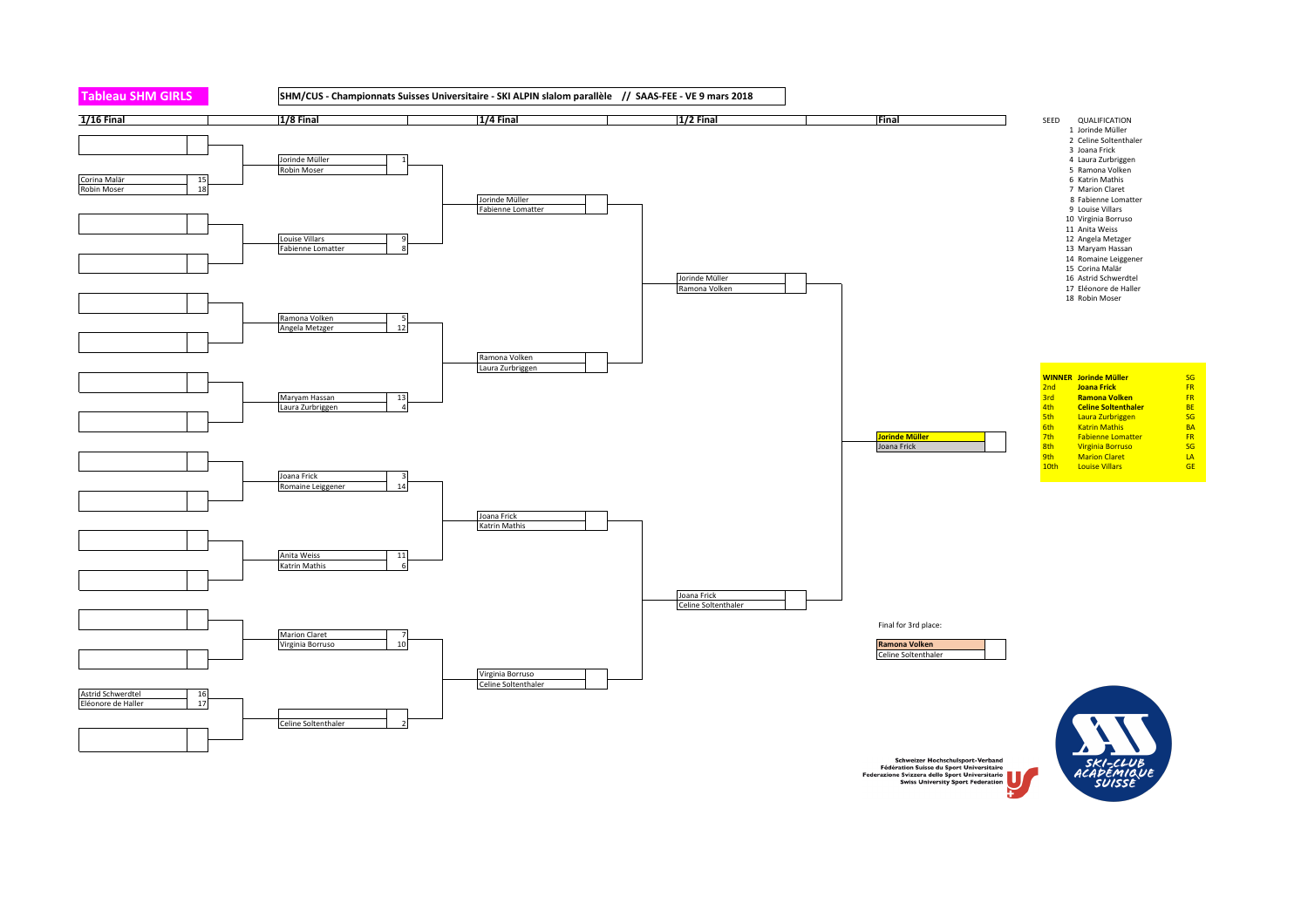

Schweizer Hochschulsport-Verband<br>Fédération Suisse du Sport Universitaire<br>Federazione Svizzera dello Sport Federation<br>Swiss University Sport Federation